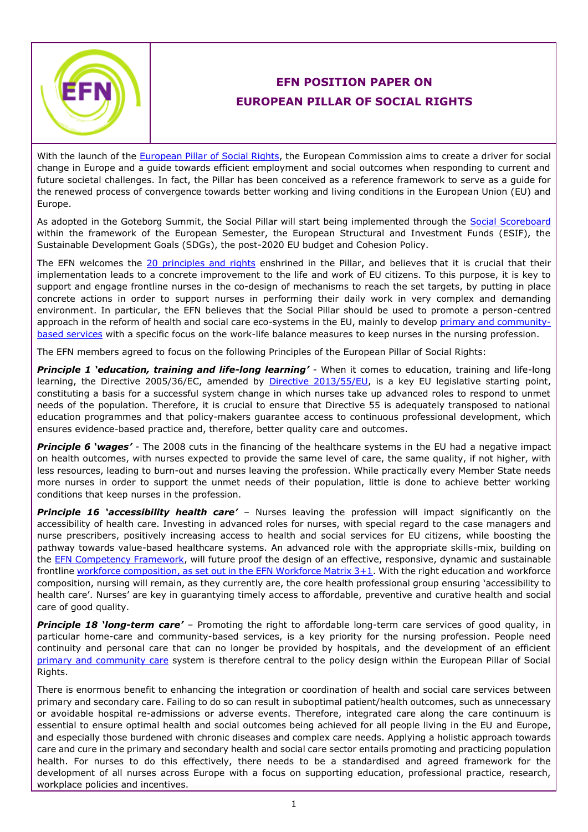

## **EFN POSITION PAPER ON EUROPEAN PILLAR OF SOCIAL RIGHTS**

With the launch of the [European Pillar of Social Rights,](https://ec.europa.eu/commission/priorities/deeper-and-fairer-economic-and-monetary-union/european-pillar-social-rights_en) the European Commission aims to create a driver for social change in Europe and a guide towards efficient employment and social outcomes when responding to current and future societal challenges. In fact, the Pillar has been conceived as a reference framework to serve as a guide for the renewed process of convergence towards better working and living conditions in the European Union (EU) and Europe.

As adopted in the Goteborg Summit, the Social Pillar will start being implemented through the [Social Scoreboard](https://composite-indicators.jrc.ec.europa.eu/social-scoreboard/) within the framework of the European Semester, the European Structural and Investment Funds (ESIF), the Sustainable Development Goals (SDGs), the post-2020 EU budget and Cohesion Policy.

The EFN welcomes the [20 principles and rights](https://ec.europa.eu/commission/priorities/deeper-and-fairer-economic-and-monetary-union/european-pillar-social-rights/european-pillar-social-rights-20-principles_en) enshrined in the Pillar, and believes that it is crucial that their implementation leads to a concrete improvement to the life and work of EU citizens. To this purpose, it is key to support and engage frontline nurses in the co-design of mechanisms to reach the set targets, by putting in place concrete actions in order to support nurses in performing their daily work in very complex and demanding environment. In particular, the EFN believes that the Social Pillar should be used to promote a person-centred approach in the reform of health and social care eco-systems in the EU, mainly to develop [primary and community](http://www.efnweb.be/wp-content/uploads/EFN-Position-Paper-on-Moving-Care-to-the-Community-Final042015.pdf)[based services](http://www.efnweb.be/wp-content/uploads/EFN-Position-Paper-on-Moving-Care-to-the-Community-Final042015.pdf) with a specific focus on the work-life balance measures to keep nurses in the nursing profession.

The EFN members agreed to focus on the following Principles of the European Pillar of Social Rights:

*Principle 1 'education, training and life-long learning' -* When it comes to education, training and life-long learning, the Directive 2005/36/EC, amended by [Directive 2013/55/EU,](http://eur-lex.europa.eu/LexUriServ/LexUriServ.do?uri=OJ:L:2013:354:0132:0170:en:PDF) is a key EU legislative starting point, constituting a basis for a successful system change in which nurses take up advanced roles to respond to unmet needs of the population. Therefore, it is crucial to ensure that Directive 55 is adequately transposed to national education programmes and that policy-makers guarantee access to continuous professional development, which ensures evidence-based practice and, therefore, better quality care and outcomes.

*Principle 6 'wages' -* The 2008 cuts in the financing of the healthcare systems in the EU had a negative impact on health outcomes, with nurses expected to provide the same level of care, the same quality, if not higher, with less resources, leading to burn-out and nurses leaving the profession. While practically every Member State needs more nurses in order to support the unmet needs of their population, little is done to achieve better working conditions that keep nurses in the profession.

*Principle 16 'accessibility health care' –* Nurses leaving the profession will impact significantly on the accessibility of health care. Investing in advanced roles for nurses, with special regard to the case managers and nurse prescribers, positively increasing access to health and social services for EU citizens, while boosting the pathway towards value-based healthcare systems. An advanced role with the appropriate skills-mix, building on the [EFN Competency Framework,](http://www.efnweb.be/?page_id=6897) will future proof the design of an effective, responsive, dynamic and sustainable frontline workforce composition, [as set out in the EFN Workforce Matrix 3+1.](http://www.efnweb.be/?page_id=8220) With the right education and workforce composition, nursing will remain, as they currently are, the core health professional group ensuring 'accessibility to health care'. Nurses' are key in guarantying timely access to affordable, preventive and curative health and social care of good quality.

*Principle 18 'long-term care' –* Promoting the right to affordable long-term care services of good quality, in particular home-care and community-based services, is a key priority for the nursing profession. People need continuity and personal care that can no longer be provided by hospitals, and the development of an efficient [primary and community care](http://www.efnweb.be/wp-content/uploads/EFN-Position-Paper-on-Moving-Care-to-the-Community-Final042015.pdf) system is therefore central to the policy design within the European Pillar of Social Rights.

There is enormous benefit to enhancing the integration or coordination of health and social care services between primary and secondary care. Failing to do so can result in suboptimal patient/health outcomes, such as unnecessary or avoidable hospital re-admissions or adverse events. Therefore, integrated care along the care continuum is essential to ensure optimal health and social outcomes being achieved for all people living in the EU and Europe, and especially those burdened with chronic diseases and complex care needs. Applying a holistic approach towards care and cure in the primary and secondary health and social care sector entails promoting and practicing population health. For nurses to do this effectively, there needs to be a standardised and agreed framework for the development of all nurses across Europe with a focus on supporting education, professional practice, research, workplace policies and incentives.